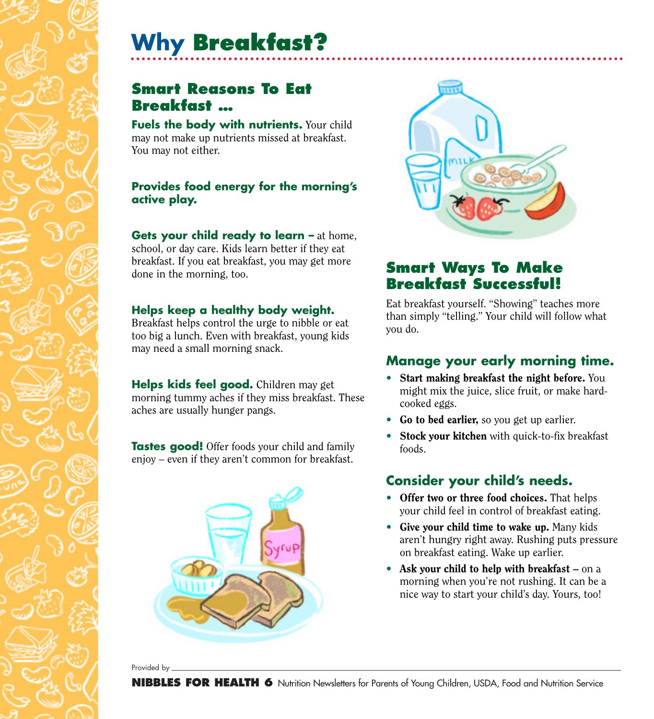# **Why Breakfast?**

## **Smart Reasons To Eat Breakfast …**

**Fuels the body with nutrients.** Your child may not make up nutrients missed at breakfast. You may not either.

#### **Provides food energy for the morning's active play.**

**Gets your child ready to learn –** at home, school, or day care. Kids learn better if they eat breakfast. If you eat breakfast, you may get more done in the morning, too.

#### **Helps keep a healthy body weight.**

Breakfast helps control the urge to nibble or eat too big a lunch. Even with breakfast, young kids may need a small morning snack.

**Helps kids feel good.** Children may get morning tummy aches if they miss breakfast. These aches are usually hunger pangs.

**Tastes good!** Offer foods your child and family enjoy – even if they aren't common for breakfast.





# **Smart Ways To Make Breakfast Successful!**

Eat breakfast yourself. "Showing" teaches more than simply "telling." Your child will follow what you do.

#### **Manage your early morning time.**

- Start making breakfast the night before. You might mix the juice, slice fruit, or make hardcooked eggs.
- Go to bed earlier, so you get up earlier.
- Stock your kitchen with quick-to-fix breakfast foods.

### **Consider your child's needs.**

- Offer two or three food choices. That helps your child feel in control of breakfast eating.
- Give your child time to wake up. Many kids aren't hungry right away. Rushing puts pressure on breakfast eating. Wake up earlier.
- Ask your child to help with breakfast on a morning when you're not rushing. It can be a nice way to start your child's day. Yours, too!

Provided by